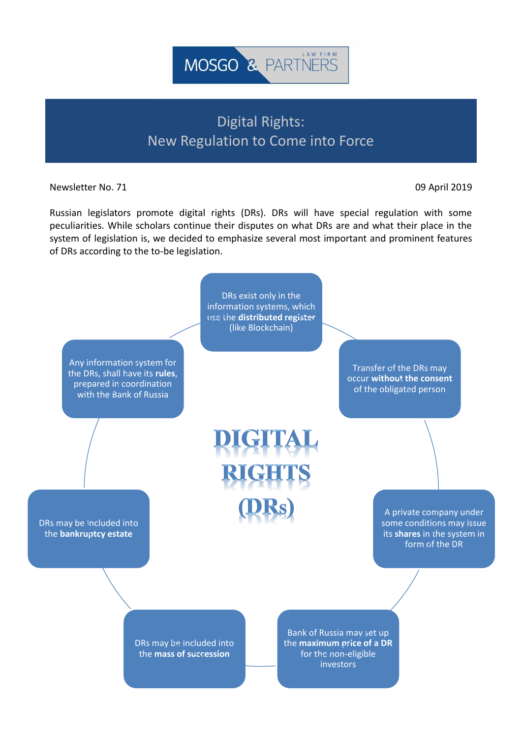

## Digital Rights: New Regulation to Come into Force

Newsletter No. 71 **09 April 2019** 

Russian legislators promote digital rights (DRs). DRs will have special regulation with some peculiarities. While scholars continue their disputes on what DRs are and what their place in the system of legislation is, we decided to emphasize several most important and prominent features of DRs according to the to-be legislation.